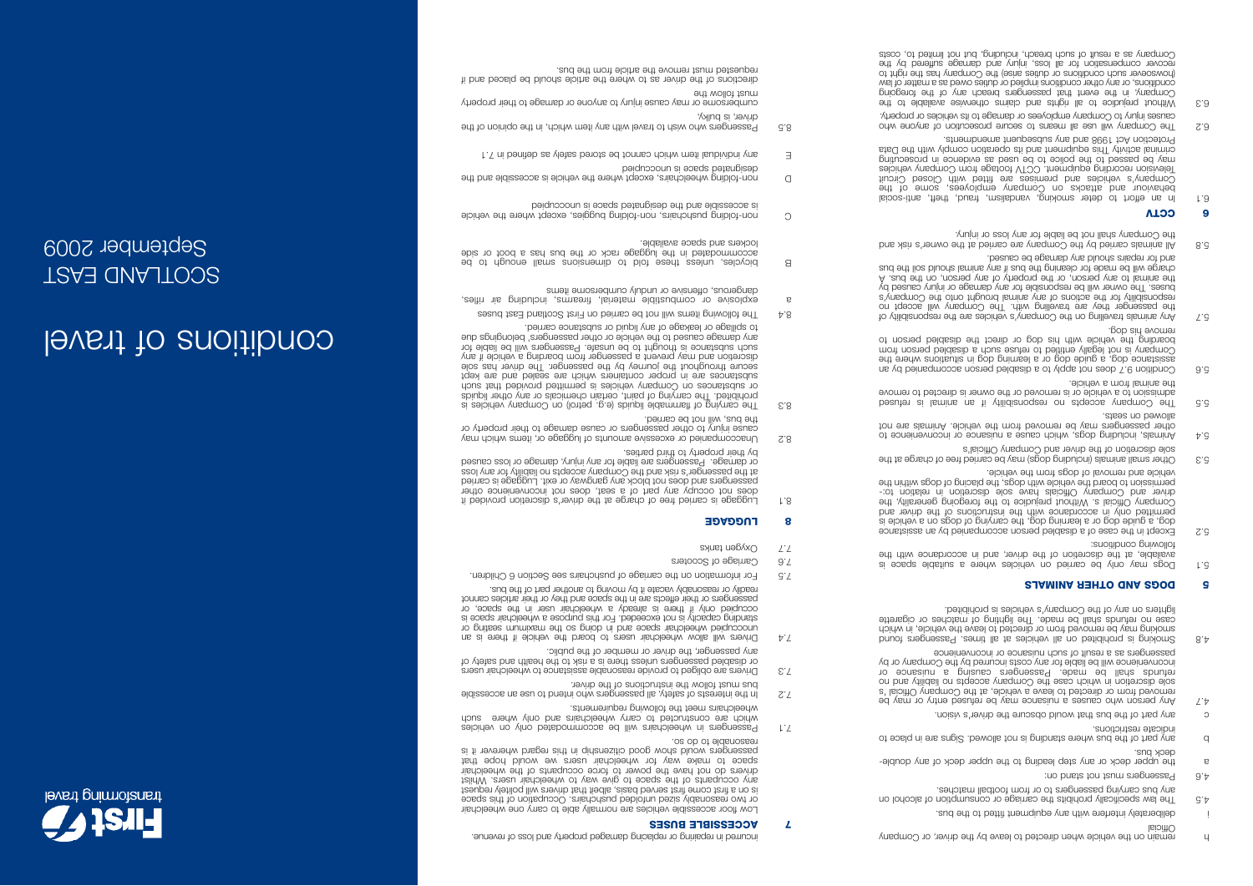

- i deliberately interfere with any equipment fitted to the bus.
- 4.5 The law specifically prohibits the carriage or consumption of alcohol on any bus carrying passengers to or from football matches.
- 4.6 Passengers must not stand on:
- <sup>a</sup> the upper deck or any step leading to the upper deck of any double deck bus.
- b any bart of the bus where standing is no allowed. Signs are in place to indicate restrictions.
- c any bart of the bus that wonta bus the driver's vision.
- 4.7 Any person who causes a may be refused who who be not may be removed from or directed to leave a vehicle, at the Company Official 's sole giscretion in which case the Company accepts no liability and no refunds shall be made. Passengers causing a nuisance or inconvenience will be liable for any costs incurred by the Company or by passengers as a result of such nuisance or inconvenience
- Smoking is pridicious and vehicles at all times. Passengers and times smoking may be removed from or directed to leave the vehicle, in which case no refunds shall be made. The lighting of matches or cigarette lighters on any of the Company's vehicles is prohibited.

### **5 DOGS AND OTHER ANIMALS**

- 5.1 Dogs may only be carried on vehicles where a suitable space is available, at the discretion of the driver, and in accordance with the following conditions:
- 5.2 Except in the case of a disabled person accompanied by an assistance dog, a guide dog or a learning dog, the carrying of dogs on a vehicle is permitted only in accordance with the instructions of the driver and Company Official s. Without prejudice to the foregoing generality, the driver and Company Officials have sole discretion in relation to: permission to board the vehicle with dogs, the placing of dogs within the vehicle and removal of dogs from the vehicle.
- 5.3 Other small animals (including dogs) may be carried free of charge at the s'lsioiftO vnsqmoO bns revito ent on company Official's
- 5.4 Animals, including dogs, which cause a nuisance or inconvenience to other passengers may be removed from the vehicle. Animals are not allowed on seats.
- 5.5 The Company accepts no responsibility if an animal is refused admission to a vehicle or is removed or the owner is directed to remove the animal from a vehicle.
- 5.6 Condition 9.7 does not apply to a disabled person accompanied by an assistance dog, a guide dog or a learning dog in situations where the Company is not legally entitled to refuse such a disabled person from boarding the vehicle with his dog or direct the disabled person to remove his dog.
- 5.7 Any animals travelling on the Company's vehicles are the responsibility of the passenger they are travelling with the Company will accept no responsibility for the actions of any animal brought onto the Company's buses. The owner will be responsible for any damage or injury caused by the animal to any person, or the property of any person, on the bus. A charge will be made for cleaning the bus if any animal should soil the bus and for repairs should any damage be caused.
- 5.8 All animals carried by the Company are carried at the owner's risk and the Company shall not be liable for any loss or injury.

## **6 CCTV**

- 6.1 In an ettort to deter smoking, vandalism, traud, theft, anti-social behaviour and attacks on Company employees, some of the Company's vehicles and premises are fitted with Closed Circuit Television recording equipment. CCTV footage from Company vehicles bullnoesoud ul equepine se pesh ed of equipol eur of pessed ed veur criminal activity This equipment and its operation comply with the Data Protection Act 1998 and any subsequent amendments.
- 6.2 The Counsert will mean of such a line and any own and any own and any own and any own and any own any of a causes injury to Company employees or damage to its vehicles or property.
- 6.3 Without prejudice to all rights and claims available to the Company, in the event that passengers breach any of the foregoing conditions, or any other conditions implied or duties owed as a matter of law (howsoever such conditions or duties arise) the Company has the right to recover compensation for all loss, injury and damage suffered by the Company as a result of such breach, including, but not limited to, costs

incurred in repairing or replacing damaged property and loss of revenue. **7 ACCESSIBLE BUSES** 

Low floor accessible vehicles are normally able to carry one wheelchair or two reasonably sized unfolded pushchairs. Occupation of this space is on a first come first served basis, albeit that drivers will politely request any occupants of the space to give way to wheelchair users. Whilst drivers do not have the power to force occupants of the wheelchair space to make way for wheelchair users we would hope that passengers would show good citizenship in this regard wherever it is reasonable to do so.

- 7.1 Passengers in wheelchairs will be accommodated only on vehicles which are constructed to carry wheelchairs and only where such wheelchairs meet the following requirements.
- 7.2 In the interests of safety, all passengers who intend to use an accessible bus must follow the instructions of the driver.
- 7.3 Drivers are obliged to provide reasonable assistance to wheelchair users or disabled passengers unless there is a risk to the health and safety of
- any passenger, the driver or member of the public.  $7.4$  Drivers will allow wheelchair users to board the vehicle it if there is an unoccupied wheelchair space and in doing so the maximum seating or standing capacity is not exceeded. For this purpose a wheelchair space is occupied only if there is already a wheelchair user in the space, or passengers or their effects are in the space and they or their articles cannot readily or reasonably vacate it by moving to another part of the bus.
- 7.5 For information on the carriage of pushchairs see Section 6 Children.
- 7.6 Carriage of Scooters
- 7.7 Oxygen tanks

## **8 LUGGAGE**

- 8.1 Luggage is carried free of charge at the driver's discretion provided it does not occupy any part of a seat, does not inconvenience other passengers and does not block any gangway or exit. Luggage is carried at the passenger's risk and the Company accepts no liability for any loss or damage. Passengers are liable for any injury, damage or loss caused by their property to third parties.
- 8.2 Unaccompanied or excessive amounts of luggage or, items which may the pns, will not be camed.<br>cause injury to other passengers or cause damage to their property or
- 8. 3 The carrying of the carrying of paint of the carrying of the carrying of the carrying or carrying or car<br>spinpil redto vns to slacimento nistreo, thisq to gnivnso en T. betidinorg or substances on Company vehicles is permitted provided that such a room substances are in proper containers which are sealed and are kept secure throughout the journey by the passenger. The driver has sole discretion and may prevent a passenger from boarding a vehicle if any such substance is thought to be unsafe. Passengers will be liable for any damage caused to the vehicle or other passengers' belongings due to spillage or leakage of any liquid or substance carried.
- 8.4 The following items will not be carried on the case of the cases of the cases of the cases of the cases
- explosive or combustible material, firearms, including air rifles, dangerous, offensive or unduly cumbersome items
- B bicycles, unless these fold to dimensions amall enough to be accommodated in the luggage rack or the bus has a boot or side lockers and space available.
- C non-folding pushchairs, non-folding buggies, except where the vehicle peiquooonu si eosqs betangiseb edt bns eldiseeoos a
- D non-folding wheelchairs, except where the vehicle is accessible and the peidnoooun si eoeds peieubisep
- E any individual item which cannot be stored safely as defined in 7.1
- 8.5 Passengers who wish the way the which, in the opinion of the driver, is bulky,
- cumbersome or may cause injury to anyone or damage to their property must follow the
- directions of the driver as to where the article should be placed and if requested must remove the article from the bus.

# levent to *enoitibrios*

## SCOTLAND EAST September 2009